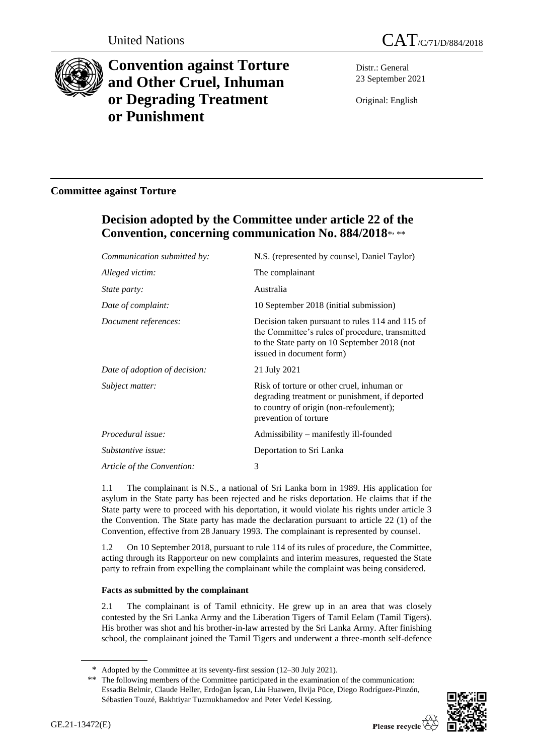



# **Convention against Torture and Other Cruel, Inhuman or Degrading Treatment or Punishment**

Distr.: General 23 September 2021

Original: English

### **Committee against Torture**

## **Decision adopted by the Committee under article 22 of the Convention, concerning communication No. 884/2018**\* , \*\*

| Communication submitted by:   | N.S. (represented by counsel, Daniel Taylor)                                                                                                                                   |
|-------------------------------|--------------------------------------------------------------------------------------------------------------------------------------------------------------------------------|
| Alleged victim:               | The complainant                                                                                                                                                                |
| <i>State party:</i>           | Australia                                                                                                                                                                      |
| Date of complaint:            | 10 September 2018 (initial submission)                                                                                                                                         |
| Document references:          | Decision taken pursuant to rules 114 and 115 of<br>the Committee's rules of procedure, transmitted<br>to the State party on 10 September 2018 (not<br>issued in document form) |
| Date of adoption of decision: | 21 July 2021                                                                                                                                                                   |
| Subject matter:               | Risk of torture or other cruel, inhuman or<br>degrading treatment or punishment, if deported<br>to country of origin (non-refoulement);<br>prevention of torture               |
| Procedural issue:             | Admissibility – manifestly ill-founded                                                                                                                                         |
| Substantive issue:            | Deportation to Sri Lanka                                                                                                                                                       |
| Article of the Convention:    | 3                                                                                                                                                                              |

1.1 The complainant is N.S., a national of Sri Lanka born in 1989. His application for asylum in the State party has been rejected and he risks deportation. He claims that if the State party were to proceed with his deportation, it would violate his rights under article 3 the Convention. The State party has made the declaration pursuant to article 22 (1) of the Convention, effective from 28 January 1993. The complainant is represented by counsel.

1.2 On 10 September 2018, pursuant to rule 114 of its rules of procedure, the Committee, acting through its Rapporteur on new complaints and interim measures, requested the State party to refrain from expelling the complainant while the complaint was being considered.

#### **Facts as submitted by the complainant**

2.1 The complainant is of Tamil ethnicity. He grew up in an area that was closely contested by the Sri Lanka Army and the Liberation Tigers of Tamil Eelam (Tamil Tigers). His brother was shot and his brother-in-law arrested by the Sri Lanka Army. After finishing school, the complainant joined the Tamil Tigers and underwent a three-month self-defence

<sup>\*\*</sup> The following members of the Committee participated in the examination of the communication: Essadia Belmir, Claude Heller, Erdoğan İşcan, Liu Huawen, Ilvija Pūce, Diego Rodríguez-Pinzón, Sébastien Touzé, Bakhtiyar Tuzmukhamedov and Peter Vedel Kessing.



<sup>\*</sup> Adopted by the Committee at its seventy-first session (12–30 July 2021).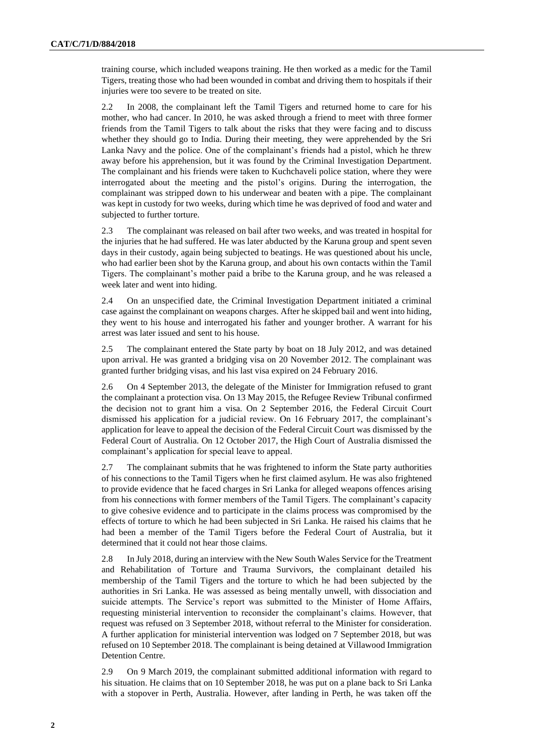training course, which included weapons training. He then worked as a medic for the Tamil Tigers, treating those who had been wounded in combat and driving them to hospitals if their injuries were too severe to be treated on site.

2.2 In 2008, the complainant left the Tamil Tigers and returned home to care for his mother, who had cancer. In 2010, he was asked through a friend to meet with three former friends from the Tamil Tigers to talk about the risks that they were facing and to discuss whether they should go to India. During their meeting, they were apprehended by the Sri Lanka Navy and the police. One of the complainant's friends had a pistol, which he threw away before his apprehension, but it was found by the Criminal Investigation Department. The complainant and his friends were taken to Kuchchaveli police station, where they were interrogated about the meeting and the pistol's origins. During the interrogation, the complainant was stripped down to his underwear and beaten with a pipe. The complainant was kept in custody for two weeks, during which time he was deprived of food and water and subjected to further torture.

2.3 The complainant was released on bail after two weeks, and was treated in hospital for the injuries that he had suffered. He was later abducted by the Karuna group and spent seven days in their custody, again being subjected to beatings. He was questioned about his uncle, who had earlier been shot by the Karuna group, and about his own contacts within the Tamil Tigers. The complainant's mother paid a bribe to the Karuna group, and he was released a week later and went into hiding.

2.4 On an unspecified date, the Criminal Investigation Department initiated a criminal case against the complainant on weapons charges. After he skipped bail and went into hiding, they went to his house and interrogated his father and younger brother. A warrant for his arrest was later issued and sent to his house.

2.5 The complainant entered the State party by boat on 18 July 2012, and was detained upon arrival. He was granted a bridging visa on 20 November 2012. The complainant was granted further bridging visas, and his last visa expired on 24 February 2016.

2.6 On 4 September 2013, the delegate of the Minister for Immigration refused to grant the complainant a protection visa. On 13 May 2015, the Refugee Review Tribunal confirmed the decision not to grant him a visa. On 2 September 2016, the Federal Circuit Court dismissed his application for a judicial review. On 16 February 2017, the complainant's application for leave to appeal the decision of the Federal Circuit Court was dismissed by the Federal Court of Australia. On 12 October 2017, the High Court of Australia dismissed the complainant's application for special leave to appeal.

2.7 The complainant submits that he was frightened to inform the State party authorities of his connections to the Tamil Tigers when he first claimed asylum. He was also frightened to provide evidence that he faced charges in Sri Lanka for alleged weapons offences arising from his connections with former members of the Tamil Tigers. The complainant's capacity to give cohesive evidence and to participate in the claims process was compromised by the effects of torture to which he had been subjected in Sri Lanka. He raised his claims that he had been a member of the Tamil Tigers before the Federal Court of Australia, but it determined that it could not hear those claims.

2.8 In July 2018, during an interview with the New South Wales Service for the Treatment and Rehabilitation of Torture and Trauma Survivors, the complainant detailed his membership of the Tamil Tigers and the torture to which he had been subjected by the authorities in Sri Lanka. He was assessed as being mentally unwell, with dissociation and suicide attempts. The Service's report was submitted to the Minister of Home Affairs, requesting ministerial intervention to reconsider the complainant's claims. However, that request was refused on 3 September 2018, without referral to the Minister for consideration. A further application for ministerial intervention was lodged on 7 September 2018, but was refused on 10 September 2018. The complainant is being detained at Villawood Immigration Detention Centre.

2.9 On 9 March 2019, the complainant submitted additional information with regard to his situation. He claims that on 10 September 2018, he was put on a plane back to Sri Lanka with a stopover in Perth, Australia. However, after landing in Perth, he was taken off the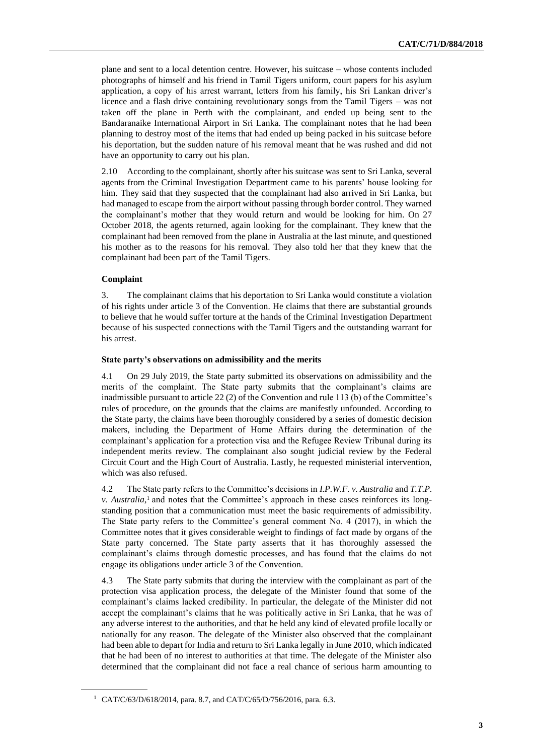plane and sent to a local detention centre. However, his suitcase – whose contents included photographs of himself and his friend in Tamil Tigers uniform, court papers for his asylum application, a copy of his arrest warrant, letters from his family, his Sri Lankan driver's licence and a flash drive containing revolutionary songs from the Tamil Tigers – was not taken off the plane in Perth with the complainant, and ended up being sent to the Bandaranaike International Airport in Sri Lanka. The complainant notes that he had been planning to destroy most of the items that had ended up being packed in his suitcase before his deportation, but the sudden nature of his removal meant that he was rushed and did not have an opportunity to carry out his plan.

2.10 According to the complainant, shortly after his suitcase was sent to Sri Lanka, several agents from the Criminal Investigation Department came to his parents' house looking for him. They said that they suspected that the complainant had also arrived in Sri Lanka, but had managed to escape from the airport without passing through border control. They warned the complainant's mother that they would return and would be looking for him. On 27 October 2018, the agents returned, again looking for the complainant. They knew that the complainant had been removed from the plane in Australia at the last minute, and questioned his mother as to the reasons for his removal. They also told her that they knew that the complainant had been part of the Tamil Tigers.

#### **Complaint**

3. The complainant claims that his deportation to Sri Lanka would constitute a violation of his rights under article 3 of the Convention. He claims that there are substantial grounds to believe that he would suffer torture at the hands of the Criminal Investigation Department because of his suspected connections with the Tamil Tigers and the outstanding warrant for his arrest.

#### **State party's observations on admissibility and the merits**

4.1 On 29 July 2019, the State party submitted its observations on admissibility and the merits of the complaint. The State party submits that the complainant's claims are inadmissible pursuant to article 22 (2) of the Convention and rule 113 (b) of the Committee's rules of procedure, on the grounds that the claims are manifestly unfounded. According to the State party, the claims have been thoroughly considered by a series of domestic decision makers, including the Department of Home Affairs during the determination of the complainant's application for a protection visa and the Refugee Review Tribunal during its independent merits review. The complainant also sought judicial review by the Federal Circuit Court and the High Court of Australia. Lastly, he requested ministerial intervention, which was also refused.

4.2 The State party refers to the Committee's decisions in *I.P.W.F. v. Australia* and *T.T.P. v. Australia*,<sup>1</sup> and notes that the Committee's approach in these cases reinforces its longstanding position that a communication must meet the basic requirements of admissibility. The State party refers to the Committee's general comment No. 4 (2017), in which the Committee notes that it gives considerable weight to findings of fact made by organs of the State party concerned. The State party asserts that it has thoroughly assessed the complainant's claims through domestic processes, and has found that the claims do not engage its obligations under article 3 of the Convention.

4.3 The State party submits that during the interview with the complainant as part of the protection visa application process, the delegate of the Minister found that some of the complainant's claims lacked credibility. In particular, the delegate of the Minister did not accept the complainant's claims that he was politically active in Sri Lanka, that he was of any adverse interest to the authorities, and that he held any kind of elevated profile locally or nationally for any reason. The delegate of the Minister also observed that the complainant had been able to depart for India and return to Sri Lanka legally in June 2010, which indicated that he had been of no interest to authorities at that time. The delegate of the Minister also determined that the complainant did not face a real chance of serious harm amounting to

<sup>1</sup> CAT/C/63/D/618/2014, para. 8.7, and CAT/C/65/D/756/2016, para. 6.3.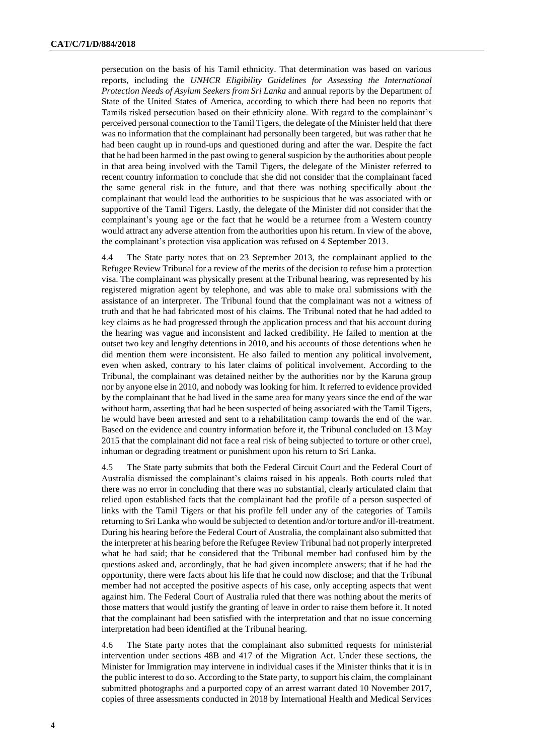persecution on the basis of his Tamil ethnicity. That determination was based on various reports, including the *UNHCR Eligibility Guidelines for Assessing the International Protection Needs of Asylum Seekers from Sri Lanka* and annual reports by the Department of State of the United States of America, according to which there had been no reports that Tamils risked persecution based on their ethnicity alone. With regard to the complainant's perceived personal connection to the Tamil Tigers, the delegate of the Minister held that there was no information that the complainant had personally been targeted, but was rather that he had been caught up in round-ups and questioned during and after the war. Despite the fact that he had been harmed in the past owing to general suspicion by the authorities about people in that area being involved with the Tamil Tigers, the delegate of the Minister referred to recent country information to conclude that she did not consider that the complainant faced the same general risk in the future, and that there was nothing specifically about the complainant that would lead the authorities to be suspicious that he was associated with or supportive of the Tamil Tigers. Lastly, the delegate of the Minister did not consider that the complainant's young age or the fact that he would be a returnee from a Western country would attract any adverse attention from the authorities upon his return. In view of the above, the complainant's protection visa application was refused on 4 September 2013.

4.4 The State party notes that on 23 September 2013, the complainant applied to the Refugee Review Tribunal for a review of the merits of the decision to refuse him a protection visa. The complainant was physically present at the Tribunal hearing, was represented by his registered migration agent by telephone, and was able to make oral submissions with the assistance of an interpreter. The Tribunal found that the complainant was not a witness of truth and that he had fabricated most of his claims. The Tribunal noted that he had added to key claims as he had progressed through the application process and that his account during the hearing was vague and inconsistent and lacked credibility. He failed to mention at the outset two key and lengthy detentions in 2010, and his accounts of those detentions when he did mention them were inconsistent. He also failed to mention any political involvement, even when asked, contrary to his later claims of political involvement. According to the Tribunal, the complainant was detained neither by the authorities nor by the Karuna group nor by anyone else in 2010, and nobody was looking for him. It referred to evidence provided by the complainant that he had lived in the same area for many years since the end of the war without harm, asserting that had he been suspected of being associated with the Tamil Tigers, he would have been arrested and sent to a rehabilitation camp towards the end of the war. Based on the evidence and country information before it, the Tribunal concluded on 13 May 2015 that the complainant did not face a real risk of being subjected to torture or other cruel, inhuman or degrading treatment or punishment upon his return to Sri Lanka.

4.5 The State party submits that both the Federal Circuit Court and the Federal Court of Australia dismissed the complainant's claims raised in his appeals. Both courts ruled that there was no error in concluding that there was no substantial, clearly articulated claim that relied upon established facts that the complainant had the profile of a person suspected of links with the Tamil Tigers or that his profile fell under any of the categories of Tamils returning to Sri Lanka who would be subjected to detention and/or torture and/or ill-treatment. During his hearing before the Federal Court of Australia, the complainant also submitted that the interpreter at his hearing before the Refugee Review Tribunal had not properly interpreted what he had said; that he considered that the Tribunal member had confused him by the questions asked and, accordingly, that he had given incomplete answers; that if he had the opportunity, there were facts about his life that he could now disclose; and that the Tribunal member had not accepted the positive aspects of his case, only accepting aspects that went against him. The Federal Court of Australia ruled that there was nothing about the merits of those matters that would justify the granting of leave in order to raise them before it. It noted that the complainant had been satisfied with the interpretation and that no issue concerning interpretation had been identified at the Tribunal hearing.

4.6 The State party notes that the complainant also submitted requests for ministerial intervention under sections 48B and 417 of the Migration Act. Under these sections, the Minister for Immigration may intervene in individual cases if the Minister thinks that it is in the public interest to do so. According to the State party, to support his claim, the complainant submitted photographs and a purported copy of an arrest warrant dated 10 November 2017, copies of three assessments conducted in 2018 by International Health and Medical Services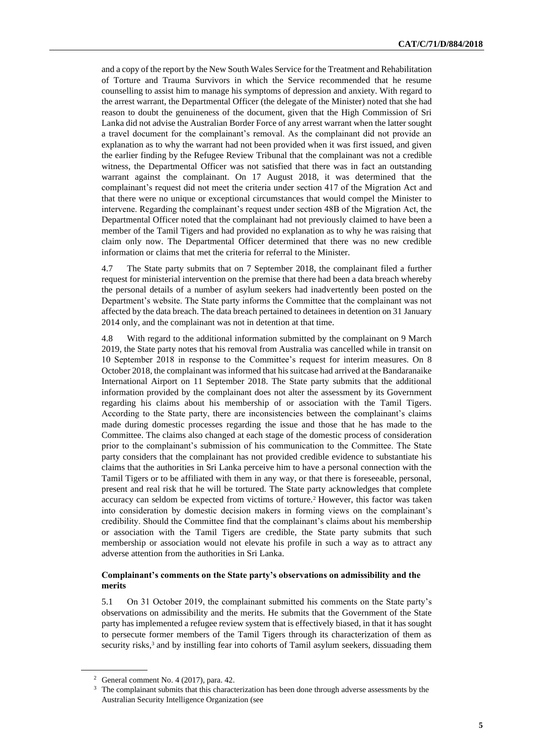and a copy of the report by the New South Wales Service for the Treatment and Rehabilitation of Torture and Trauma Survivors in which the Service recommended that he resume counselling to assist him to manage his symptoms of depression and anxiety. With regard to the arrest warrant, the Departmental Officer (the delegate of the Minister) noted that she had reason to doubt the genuineness of the document, given that the High Commission of Sri Lanka did not advise the Australian Border Force of any arrest warrant when the latter sought a travel document for the complainant's removal. As the complainant did not provide an explanation as to why the warrant had not been provided when it was first issued, and given the earlier finding by the Refugee Review Tribunal that the complainant was not a credible witness, the Departmental Officer was not satisfied that there was in fact an outstanding warrant against the complainant. On 17 August 2018, it was determined that the complainant's request did not meet the criteria under section 417 of the Migration Act and that there were no unique or exceptional circumstances that would compel the Minister to intervene. Regarding the complainant's request under section 48B of the Migration Act, the Departmental Officer noted that the complainant had not previously claimed to have been a member of the Tamil Tigers and had provided no explanation as to why he was raising that claim only now. The Departmental Officer determined that there was no new credible information or claims that met the criteria for referral to the Minister.

4.7 The State party submits that on 7 September 2018, the complainant filed a further request for ministerial intervention on the premise that there had been a data breach whereby the personal details of a number of asylum seekers had inadvertently been posted on the Department's website. The State party informs the Committee that the complainant was not affected by the data breach. The data breach pertained to detainees in detention on 31 January 2014 only, and the complainant was not in detention at that time.

4.8 With regard to the additional information submitted by the complainant on 9 March 2019, the State party notes that his removal from Australia was cancelled while in transit on 10 September 2018 in response to the Committee's request for interim measures. On 8 October 2018, the complainant was informed that his suitcase had arrived at the Bandaranaike International Airport on 11 September 2018. The State party submits that the additional information provided by the complainant does not alter the assessment by its Government regarding his claims about his membership of or association with the Tamil Tigers. According to the State party, there are inconsistencies between the complainant's claims made during domestic processes regarding the issue and those that he has made to the Committee. The claims also changed at each stage of the domestic process of consideration prior to the complainant's submission of his communication to the Committee. The State party considers that the complainant has not provided credible evidence to substantiate his claims that the authorities in Sri Lanka perceive him to have a personal connection with the Tamil Tigers or to be affiliated with them in any way, or that there is foreseeable, personal, present and real risk that he will be tortured. The State party acknowledges that complete accuracy can seldom be expected from victims of torture.<sup>2</sup> However, this factor was taken into consideration by domestic decision makers in forming views on the complainant's credibility. Should the Committee find that the complainant's claims about his membership or association with the Tamil Tigers are credible, the State party submits that such membership or association would not elevate his profile in such a way as to attract any adverse attention from the authorities in Sri Lanka.

#### **Complainant's comments on the State party's observations on admissibility and the merits**

5.1 On 31 October 2019, the complainant submitted his comments on the State party's observations on admissibility and the merits. He submits that the Government of the State party has implemented a refugee review system that is effectively biased, in that it has sought to persecute former members of the Tamil Tigers through its characterization of them as security risks,<sup>3</sup> and by instilling fear into cohorts of Tamil asylum seekers, dissuading them

 $2$  General comment No. 4 (2017), para. 42.

<sup>&</sup>lt;sup>3</sup> The complainant submits that this characterization has been done through adverse assessments by the Australian Security Intelligence Organization (see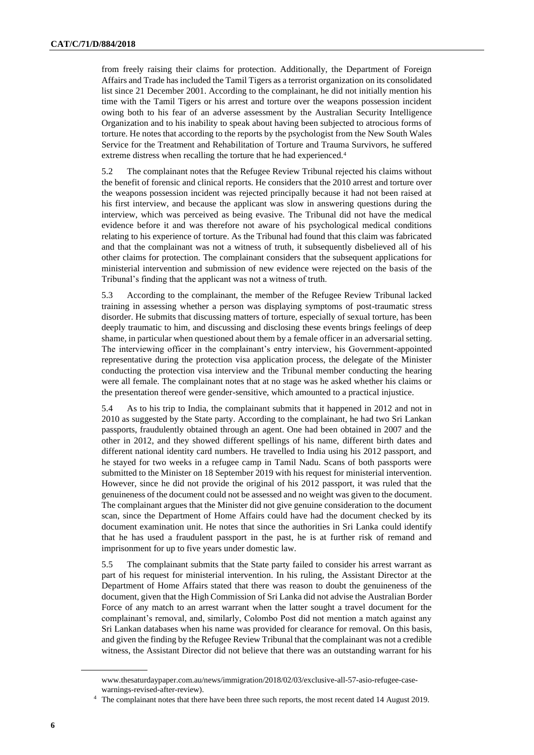from freely raising their claims for protection. Additionally, the Department of Foreign Affairs and Trade has included the Tamil Tigers as a terrorist organization on its consolidated list since 21 December 2001. According to the complainant, he did not initially mention his time with the Tamil Tigers or his arrest and torture over the weapons possession incident owing both to his fear of an adverse assessment by the Australian Security Intelligence Organization and to his inability to speak about having been subjected to atrocious forms of torture. He notes that according to the reports by the psychologist from the New South Wales Service for the Treatment and Rehabilitation of Torture and Trauma Survivors, he suffered extreme distress when recalling the torture that he had experienced.<sup>4</sup>

5.2 The complainant notes that the Refugee Review Tribunal rejected his claims without the benefit of forensic and clinical reports. He considers that the 2010 arrest and torture over the weapons possession incident was rejected principally because it had not been raised at his first interview, and because the applicant was slow in answering questions during the interview, which was perceived as being evasive. The Tribunal did not have the medical evidence before it and was therefore not aware of his psychological medical conditions relating to his experience of torture. As the Tribunal had found that this claim was fabricated and that the complainant was not a witness of truth, it subsequently disbelieved all of his other claims for protection. The complainant considers that the subsequent applications for ministerial intervention and submission of new evidence were rejected on the basis of the Tribunal's finding that the applicant was not a witness of truth.

5.3 According to the complainant, the member of the Refugee Review Tribunal lacked training in assessing whether a person was displaying symptoms of post-traumatic stress disorder. He submits that discussing matters of torture, especially of sexual torture, has been deeply traumatic to him, and discussing and disclosing these events brings feelings of deep shame, in particular when questioned about them by a female officer in an adversarial setting. The interviewing officer in the complainant's entry interview, his Government-appointed representative during the protection visa application process, the delegate of the Minister conducting the protection visa interview and the Tribunal member conducting the hearing were all female. The complainant notes that at no stage was he asked whether his claims or the presentation thereof were gender-sensitive, which amounted to a practical injustice.

5.4 As to his trip to India, the complainant submits that it happened in 2012 and not in 2010 as suggested by the State party. According to the complainant, he had two Sri Lankan passports, fraudulently obtained through an agent. One had been obtained in 2007 and the other in 2012, and they showed different spellings of his name, different birth dates and different national identity card numbers. He travelled to India using his 2012 passport, and he stayed for two weeks in a refugee camp in Tamil Nadu. Scans of both passports were submitted to the Minister on 18 September 2019 with his request for ministerial intervention. However, since he did not provide the original of his 2012 passport, it was ruled that the genuineness of the document could not be assessed and no weight was given to the document. The complainant argues that the Minister did not give genuine consideration to the document scan, since the Department of Home Affairs could have had the document checked by its document examination unit. He notes that since the authorities in Sri Lanka could identify that he has used a fraudulent passport in the past, he is at further risk of remand and imprisonment for up to five years under domestic law.

5.5 The complainant submits that the State party failed to consider his arrest warrant as part of his request for ministerial intervention. In his ruling, the Assistant Director at the Department of Home Affairs stated that there was reason to doubt the genuineness of the document, given that the High Commission of Sri Lanka did not advise the Australian Border Force of any match to an arrest warrant when the latter sought a travel document for the complainant's removal, and, similarly, Colombo Post did not mention a match against any Sri Lankan databases when his name was provided for clearance for removal. On this basis, and given the finding by the Refugee Review Tribunal that the complainant was not a credible witness, the Assistant Director did not believe that there was an outstanding warrant for his

www.thesaturdaypaper.com.au/news/immigration/2018/02/03/exclusive-all-57-asio-refugee-casewarnings-revised-after-review).

<sup>4</sup> The complainant notes that there have been three such reports, the most recent dated 14 August 2019.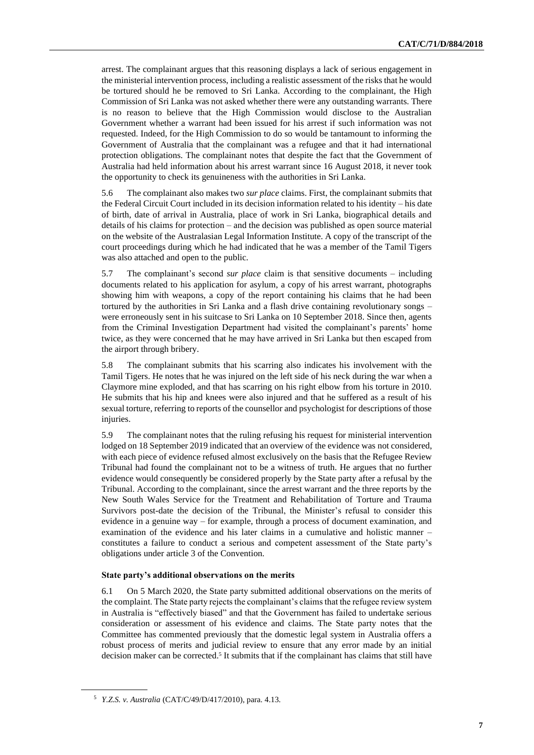arrest. The complainant argues that this reasoning displays a lack of serious engagement in the ministerial intervention process, including a realistic assessment of the risks that he would be tortured should he be removed to Sri Lanka. According to the complainant, the High Commission of Sri Lanka was not asked whether there were any outstanding warrants. There is no reason to believe that the High Commission would disclose to the Australian Government whether a warrant had been issued for his arrest if such information was not requested. Indeed, for the High Commission to do so would be tantamount to informing the Government of Australia that the complainant was a refugee and that it had international protection obligations. The complainant notes that despite the fact that the Government of Australia had held information about his arrest warrant since 16 August 2018, it never took the opportunity to check its genuineness with the authorities in Sri Lanka.

5.6 The complainant also makes two *sur place* claims. First, the complainant submits that the Federal Circuit Court included in its decision information related to his identity – his date of birth, date of arrival in Australia, place of work in Sri Lanka, biographical details and details of his claims for protection – and the decision was published as open source material on the website of the Australasian Legal Information Institute. A copy of the transcript of the court proceedings during which he had indicated that he was a member of the Tamil Tigers was also attached and open to the public.

5.7 The complainant's second *sur place* claim is that sensitive documents – including documents related to his application for asylum, a copy of his arrest warrant, photographs showing him with weapons, a copy of the report containing his claims that he had been tortured by the authorities in Sri Lanka and a flash drive containing revolutionary songs – were erroneously sent in his suitcase to Sri Lanka on 10 September 2018. Since then, agents from the Criminal Investigation Department had visited the complainant's parents' home twice, as they were concerned that he may have arrived in Sri Lanka but then escaped from the airport through bribery.

5.8 The complainant submits that his scarring also indicates his involvement with the Tamil Tigers. He notes that he was injured on the left side of his neck during the war when a Claymore mine exploded, and that has scarring on his right elbow from his torture in 2010. He submits that his hip and knees were also injured and that he suffered as a result of his sexual torture, referring to reports of the counsellor and psychologist for descriptions of those injuries.

5.9 The complainant notes that the ruling refusing his request for ministerial intervention lodged on 18 September 2019 indicated that an overview of the evidence was not considered, with each piece of evidence refused almost exclusively on the basis that the Refugee Review Tribunal had found the complainant not to be a witness of truth. He argues that no further evidence would consequently be considered properly by the State party after a refusal by the Tribunal. According to the complainant, since the arrest warrant and the three reports by the New South Wales Service for the Treatment and Rehabilitation of Torture and Trauma Survivors post-date the decision of the Tribunal, the Minister's refusal to consider this evidence in a genuine way – for example, through a process of document examination, and examination of the evidence and his later claims in a cumulative and holistic manner – constitutes a failure to conduct a serious and competent assessment of the State party's obligations under article 3 of the Convention.

#### **State party's additional observations on the merits**

6.1 On 5 March 2020, the State party submitted additional observations on the merits of the complaint. The State party rejects the complainant's claims that the refugee review system in Australia is "effectively biased" and that the Government has failed to undertake serious consideration or assessment of his evidence and claims. The State party notes that the Committee has commented previously that the domestic legal system in Australia offers a robust process of merits and judicial review to ensure that any error made by an initial decision maker can be corrected.<sup>5</sup> It submits that if the complainant has claims that still have

<sup>5</sup> *Y.Z.S. v. Australia* (CAT/C/49/D/417/2010), para. 4.13.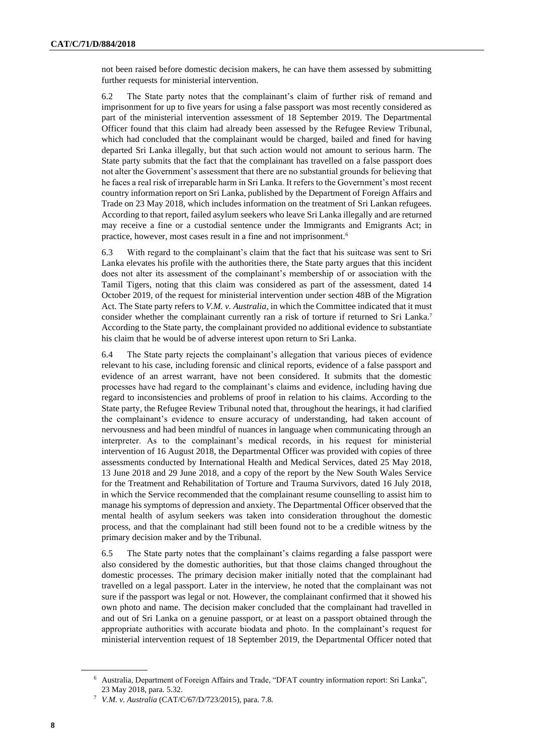not been raised before domestic decision makers, he can have them assessed by submitting further requests for ministerial intervention.

6.2 The State party notes that the complainant's claim of further risk of remand and imprisonment for up to five years for using a false passport was most recently considered as part of the ministerial intervention assessment of 18 September 2019. The Departmental Officer found that this claim had already been assessed by the Refugee Review Tribunal, which had concluded that the complainant would be charged, bailed and fined for having departed Sri Lanka illegally, but that such action would not amount to serious harm. The State party submits that the fact that the complainant has travelled on a false passport does not alter the Government's assessment that there are no substantial grounds for believing that he faces a real risk of irreparable harm in Sri Lanka. It refers to the Government's most recent country information report on Sri Lanka, published by the Department of Foreign Affairs and Trade on 23 May 2018, which includes information on the treatment of Sri Lankan refugees. According to that report, failed asylum seekers who leave Sri Lanka illegally and are returned may receive a fine or a custodial sentence under the Immigrants and Emigrants Act; in practice, however, most cases result in a fine and not imprisonment.<sup>6</sup>

6.3 With regard to the complainant's claim that the fact that his suitcase was sent to Sri Lanka elevates his profile with the authorities there, the State party argues that this incident does not alter its assessment of the complainant's membership of or association with the Tamil Tigers, noting that this claim was considered as part of the assessment, dated 14 October 2019, of the request for ministerial intervention under section 48B of the Migration Act. The State party refers to *V.M. v. Australia*, in which the Committee indicated that it must consider whether the complainant currently ran a risk of torture if returned to Sri Lanka.<sup>7</sup> According to the State party, the complainant provided no additional evidence to substantiate his claim that he would be of adverse interest upon return to Sri Lanka.

6.4 The State party rejects the complainant's allegation that various pieces of evidence relevant to his case, including forensic and clinical reports, evidence of a false passport and evidence of an arrest warrant, have not been considered. It submits that the domestic processes have had regard to the complainant's claims and evidence, including having due regard to inconsistencies and problems of proof in relation to his claims. According to the State party, the Refugee Review Tribunal noted that, throughout the hearings, it had clarified the complainant's evidence to ensure accuracy of understanding, had taken account of nervousness and had been mindful of nuances in language when communicating through an interpreter. As to the complainant's medical records, in his request for ministerial intervention of 16 August 2018, the Departmental Officer was provided with copies of three assessments conducted by International Health and Medical Services, dated 25 May 2018, 13 June 2018 and 29 June 2018, and a copy of the report by the New South Wales Service for the Treatment and Rehabilitation of Torture and Trauma Survivors, dated 16 July 2018, in which the Service recommended that the complainant resume counselling to assist him to manage his symptoms of depression and anxiety. The Departmental Officer observed that the mental health of asylum seekers was taken into consideration throughout the domestic process, and that the complainant had still been found not to be a credible witness by the primary decision maker and by the Tribunal.

6.5 The State party notes that the complainant's claims regarding a false passport were also considered by the domestic authorities, but that those claims changed throughout the domestic processes. The primary decision maker initially noted that the complainant had travelled on a legal passport. Later in the interview, he noted that the complainant was not sure if the passport was legal or not. However, the complainant confirmed that it showed his own photo and name. The decision maker concluded that the complainant had travelled in and out of Sri Lanka on a genuine passport, or at least on a passport obtained through the appropriate authorities with accurate biodata and photo. In the complainant's request for ministerial intervention request of 18 September 2019, the Departmental Officer noted that

<sup>6</sup> Australia, Department of Foreign Affairs and Trade, "DFAT country information report: Sri Lanka", 23 May 2018, para. 5.32.

<sup>7</sup> *V.M. v. Australia* (CAT/C/67/D/723/2015), para. 7.8.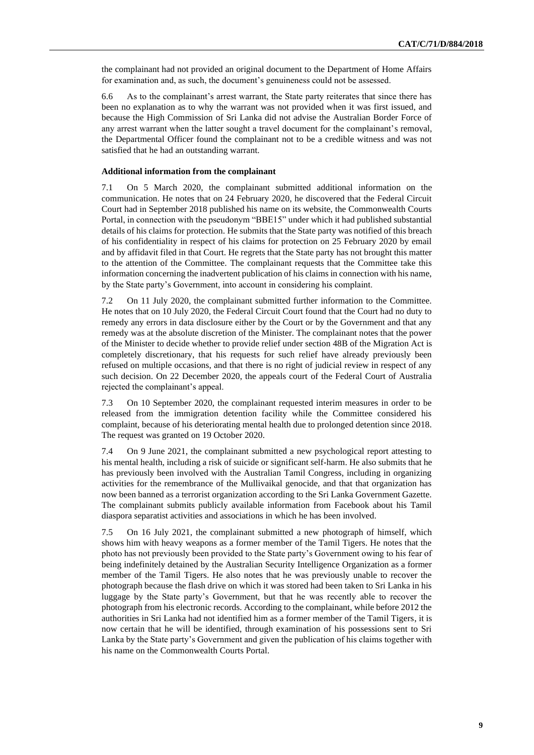the complainant had not provided an original document to the Department of Home Affairs for examination and, as such, the document's genuineness could not be assessed.

6.6 As to the complainant's arrest warrant, the State party reiterates that since there has been no explanation as to why the warrant was not provided when it was first issued, and because the High Commission of Sri Lanka did not advise the Australian Border Force of any arrest warrant when the latter sought a travel document for the complainant's removal, the Departmental Officer found the complainant not to be a credible witness and was not satisfied that he had an outstanding warrant.

#### **Additional information from the complainant**

7.1 On 5 March 2020, the complainant submitted additional information on the communication. He notes that on 24 February 2020, he discovered that the Federal Circuit Court had in September 2018 published his name on its website, the Commonwealth Courts Portal, in connection with the pseudonym "BBE15" under which it had published substantial details of his claims for protection. He submits that the State party was notified of this breach of his confidentiality in respect of his claims for protection on 25 February 2020 by email and by affidavit filed in that Court. He regrets that the State party has not brought this matter to the attention of the Committee. The complainant requests that the Committee take this information concerning the inadvertent publication of his claims in connection with his name, by the State party's Government, into account in considering his complaint.

7.2 On 11 July 2020, the complainant submitted further information to the Committee. He notes that on 10 July 2020, the Federal Circuit Court found that the Court had no duty to remedy any errors in data disclosure either by the Court or by the Government and that any remedy was at the absolute discretion of the Minister. The complainant notes that the power of the Minister to decide whether to provide relief under section 48B of the Migration Act is completely discretionary, that his requests for such relief have already previously been refused on multiple occasions, and that there is no right of judicial review in respect of any such decision. On 22 December 2020, the appeals court of the Federal Court of Australia rejected the complainant's appeal.

7.3 On 10 September 2020, the complainant requested interim measures in order to be released from the immigration detention facility while the Committee considered his complaint, because of his deteriorating mental health due to prolonged detention since 2018. The request was granted on 19 October 2020.

7.4 On 9 June 2021, the complainant submitted a new psychological report attesting to his mental health, including a risk of suicide or significant self-harm. He also submits that he has previously been involved with the Australian Tamil Congress, including in organizing activities for the remembrance of the Mullivaikal genocide, and that that organization has now been banned as a terrorist organization according to the Sri Lanka Government Gazette. The complainant submits publicly available information from Facebook about his Tamil diaspora separatist activities and associations in which he has been involved.

7.5 On 16 July 2021, the complainant submitted a new photograph of himself, which shows him with heavy weapons as a former member of the Tamil Tigers. He notes that the photo has not previously been provided to the State party's Government owing to his fear of being indefinitely detained by the Australian Security Intelligence Organization as a former member of the Tamil Tigers. He also notes that he was previously unable to recover the photograph because the flash drive on which it was stored had been taken to Sri Lanka in his luggage by the State party's Government, but that he was recently able to recover the photograph from his electronic records. According to the complainant, while before 2012 the authorities in Sri Lanka had not identified him as a former member of the Tamil Tigers, it is now certain that he will be identified, through examination of his possessions sent to Sri Lanka by the State party's Government and given the publication of his claims together with his name on the Commonwealth Courts Portal.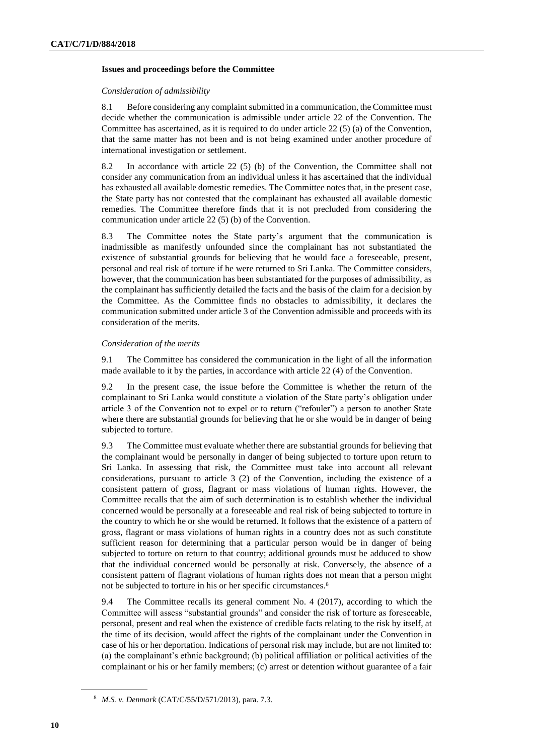#### **Issues and proceedings before the Committee**

#### *Consideration of admissibility*

8.1 Before considering any complaint submitted in a communication, the Committee must decide whether the communication is admissible under article 22 of the Convention. The Committee has ascertained, as it is required to do under article 22 (5) (a) of the Convention, that the same matter has not been and is not being examined under another procedure of international investigation or settlement.

8.2 In accordance with article 22 (5) (b) of the Convention, the Committee shall not consider any communication from an individual unless it has ascertained that the individual has exhausted all available domestic remedies. The Committee notes that, in the present case, the State party has not contested that the complainant has exhausted all available domestic remedies. The Committee therefore finds that it is not precluded from considering the communication under article 22 (5) (b) of the Convention.

8.3 The Committee notes the State party's argument that the communication is inadmissible as manifestly unfounded since the complainant has not substantiated the existence of substantial grounds for believing that he would face a foreseeable, present, personal and real risk of torture if he were returned to Sri Lanka. The Committee considers, however, that the communication has been substantiated for the purposes of admissibility, as the complainant has sufficiently detailed the facts and the basis of the claim for a decision by the Committee. As the Committee finds no obstacles to admissibility, it declares the communication submitted under article 3 of the Convention admissible and proceeds with its consideration of the merits.

#### *Consideration of the merits*

9.1 The Committee has considered the communication in the light of all the information made available to it by the parties, in accordance with article 22 (4) of the Convention.

9.2 In the present case, the issue before the Committee is whether the return of the complainant to Sri Lanka would constitute a violation of the State party's obligation under article 3 of the Convention not to expel or to return ("refouler") a person to another State where there are substantial grounds for believing that he or she would be in danger of being subjected to torture.

9.3 The Committee must evaluate whether there are substantial grounds for believing that the complainant would be personally in danger of being subjected to torture upon return to Sri Lanka. In assessing that risk, the Committee must take into account all relevant considerations, pursuant to article 3 (2) of the Convention, including the existence of a consistent pattern of gross, flagrant or mass violations of human rights. However, the Committee recalls that the aim of such determination is to establish whether the individual concerned would be personally at a foreseeable and real risk of being subjected to torture in the country to which he or she would be returned. It follows that the existence of a pattern of gross, flagrant or mass violations of human rights in a country does not as such constitute sufficient reason for determining that a particular person would be in danger of being subjected to torture on return to that country; additional grounds must be adduced to show that the individual concerned would be personally at risk. Conversely, the absence of a consistent pattern of flagrant violations of human rights does not mean that a person might not be subjected to torture in his or her specific circumstances.<sup>8</sup>

9.4 The Committee recalls its general comment No. 4 (2017), according to which the Committee will assess "substantial grounds" and consider the risk of torture as foreseeable, personal, present and real when the existence of credible facts relating to the risk by itself, at the time of its decision, would affect the rights of the complainant under the Convention in case of his or her deportation. Indications of personal risk may include, but are not limited to: (a) the complainant's ethnic background; (b) political affiliation or political activities of the complainant or his or her family members; (c) arrest or detention without guarantee of a fair

<sup>8</sup> *M.S. v. Denmark* (CAT/C/55/D/571/2013), para. 7.3.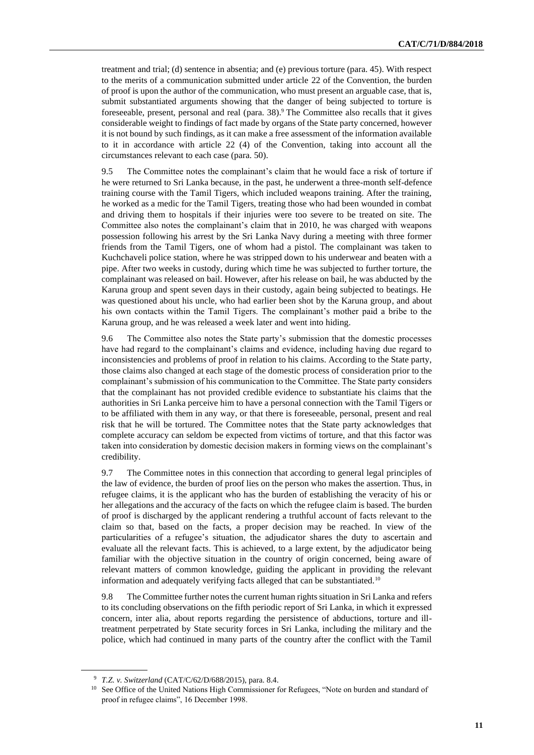treatment and trial; (d) sentence in absentia; and (e) previous torture (para. 45). With respect to the merits of a communication submitted under article 22 of the Convention, the burden of proof is upon the author of the communication, who must present an arguable case, that is, submit substantiated arguments showing that the danger of being subjected to torture is foreseeable, present, personal and real (para. 38).<sup>9</sup> The Committee also recalls that it gives considerable weight to findings of fact made by organs of the State party concerned, however it is not bound by such findings, as it can make a free assessment of the information available to it in accordance with article 22 (4) of the Convention, taking into account all the circumstances relevant to each case (para. 50).

9.5 The Committee notes the complainant's claim that he would face a risk of torture if he were returned to Sri Lanka because, in the past, he underwent a three-month self-defence training course with the Tamil Tigers, which included weapons training. After the training, he worked as a medic for the Tamil Tigers, treating those who had been wounded in combat and driving them to hospitals if their injuries were too severe to be treated on site. The Committee also notes the complainant's claim that in 2010, he was charged with weapons possession following his arrest by the Sri Lanka Navy during a meeting with three former friends from the Tamil Tigers, one of whom had a pistol. The complainant was taken to Kuchchaveli police station, where he was stripped down to his underwear and beaten with a pipe. After two weeks in custody, during which time he was subjected to further torture, the complainant was released on bail. However, after his release on bail, he was abducted by the Karuna group and spent seven days in their custody, again being subjected to beatings. He was questioned about his uncle, who had earlier been shot by the Karuna group, and about his own contacts within the Tamil Tigers. The complainant's mother paid a bribe to the Karuna group, and he was released a week later and went into hiding.

9.6 The Committee also notes the State party's submission that the domestic processes have had regard to the complainant's claims and evidence, including having due regard to inconsistencies and problems of proof in relation to his claims. According to the State party, those claims also changed at each stage of the domestic process of consideration prior to the complainant's submission of his communication to the Committee. The State party considers that the complainant has not provided credible evidence to substantiate his claims that the authorities in Sri Lanka perceive him to have a personal connection with the Tamil Tigers or to be affiliated with them in any way, or that there is foreseeable, personal, present and real risk that he will be tortured. The Committee notes that the State party acknowledges that complete accuracy can seldom be expected from victims of torture, and that this factor was taken into consideration by domestic decision makers in forming views on the complainant's credibility.

9.7 The Committee notes in this connection that according to general legal principles of the law of evidence, the burden of proof lies on the person who makes the assertion. Thus, in refugee claims, it is the applicant who has the burden of establishing the veracity of his or her allegations and the accuracy of the facts on which the refugee claim is based. The burden of proof is discharged by the applicant rendering a truthful account of facts relevant to the claim so that, based on the facts, a proper decision may be reached. In view of the particularities of a refugee's situation, the adjudicator shares the duty to ascertain and evaluate all the relevant facts. This is achieved, to a large extent, by the adjudicator being familiar with the objective situation in the country of origin concerned, being aware of relevant matters of common knowledge, guiding the applicant in providing the relevant information and adequately verifying facts alleged that can be substantiated.<sup>10</sup>

9.8 The Committee further notes the current human rights situation in Sri Lanka and refers to its concluding observations on the fifth periodic report of Sri Lanka, in which it expressed concern, inter alia, about reports regarding the persistence of abductions, torture and illtreatment perpetrated by State security forces in Sri Lanka, including the military and the police, which had continued in many parts of the country after the conflict with the Tamil

<sup>9</sup> *T.Z. v. Switzerland* (CAT/C/62/D/688/2015), para. 8.4.

<sup>&</sup>lt;sup>10</sup> See Office of the United Nations High Commissioner for Refugees, "Note on burden and standard of proof in refugee claims", 16 December 1998.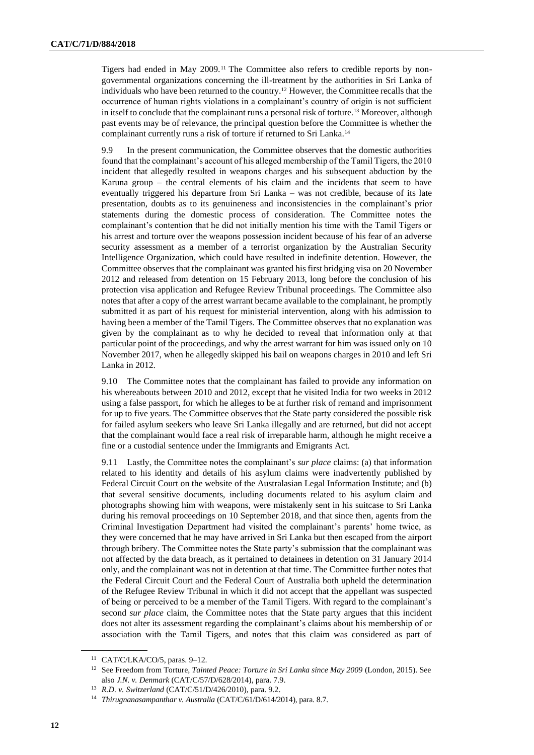Tigers had ended in May 2009.<sup>11</sup> The Committee also refers to credible reports by nongovernmental organizations concerning the ill-treatment by the authorities in Sri Lanka of individuals who have been returned to the country.<sup>12</sup> However, the Committee recalls that the occurrence of human rights violations in a complainant's country of origin is not sufficient in itself to conclude that the complainant runs a personal risk of torture.<sup>13</sup> Moreover, although past events may be of relevance, the principal question before the Committee is whether the complainant currently runs a risk of torture if returned to Sri Lanka.<sup>14</sup>

9.9 In the present communication, the Committee observes that the domestic authorities found that the complainant's account of his alleged membership of the Tamil Tigers, the 2010 incident that allegedly resulted in weapons charges and his subsequent abduction by the Karuna group – the central elements of his claim and the incidents that seem to have eventually triggered his departure from Sri Lanka – was not credible, because of its late presentation, doubts as to its genuineness and inconsistencies in the complainant's prior statements during the domestic process of consideration. The Committee notes the complainant's contention that he did not initially mention his time with the Tamil Tigers or his arrest and torture over the weapons possession incident because of his fear of an adverse security assessment as a member of a terrorist organization by the Australian Security Intelligence Organization, which could have resulted in indefinite detention. However, the Committee observes that the complainant was granted his first bridging visa on 20 November 2012 and released from detention on 15 February 2013, long before the conclusion of his protection visa application and Refugee Review Tribunal proceedings. The Committee also notes that after a copy of the arrest warrant became available to the complainant, he promptly submitted it as part of his request for ministerial intervention, along with his admission to having been a member of the Tamil Tigers. The Committee observes that no explanation was given by the complainant as to why he decided to reveal that information only at that particular point of the proceedings, and why the arrest warrant for him was issued only on 10 November 2017, when he allegedly skipped his bail on weapons charges in 2010 and left Sri Lanka in 2012.

9.10 The Committee notes that the complainant has failed to provide any information on his whereabouts between 2010 and 2012, except that he visited India for two weeks in 2012 using a false passport, for which he alleges to be at further risk of remand and imprisonment for up to five years. The Committee observes that the State party considered the possible risk for failed asylum seekers who leave Sri Lanka illegally and are returned, but did not accept that the complainant would face a real risk of irreparable harm, although he might receive a fine or a custodial sentence under the Immigrants and Emigrants Act.

9.11 Lastly, the Committee notes the complainant's *sur place* claims: (a) that information related to his identity and details of his asylum claims were inadvertently published by Federal Circuit Court on the website of the Australasian Legal Information Institute; and (b) that several sensitive documents, including documents related to his asylum claim and photographs showing him with weapons, were mistakenly sent in his suitcase to Sri Lanka during his removal proceedings on 10 September 2018, and that since then, agents from the Criminal Investigation Department had visited the complainant's parents' home twice, as they were concerned that he may have arrived in Sri Lanka but then escaped from the airport through bribery. The Committee notes the State party's submission that the complainant was not affected by the data breach, as it pertained to detainees in detention on 31 January 2014 only, and the complainant was not in detention at that time. The Committee further notes that the Federal Circuit Court and the Federal Court of Australia both upheld the determination of the Refugee Review Tribunal in which it did not accept that the appellant was suspected of being or perceived to be a member of the Tamil Tigers. With regard to the complainant's second *sur place* claim, the Committee notes that the State party argues that this incident does not alter its assessment regarding the complainant's claims about his membership of or association with the Tamil Tigers, and notes that this claim was considered as part of

<sup>11</sup> CAT/C/LKA/CO/5, paras. 9–12.

<sup>12</sup> See Freedom from Torture, *Tainted Peace: Torture in Sri Lanka since May 2009* (London, 2015). See also *J.N. v. Denmark* (CAT/C/57/D/628/2014), para. 7.9.

<sup>13</sup> *R.D. v. Switzerland* (CAT/C/51/D/426/2010), para. 9.2.

<sup>14</sup> *Thirugnanasampanthar v. Australia* (CAT/C/61/D/614/2014), para. 8.7.